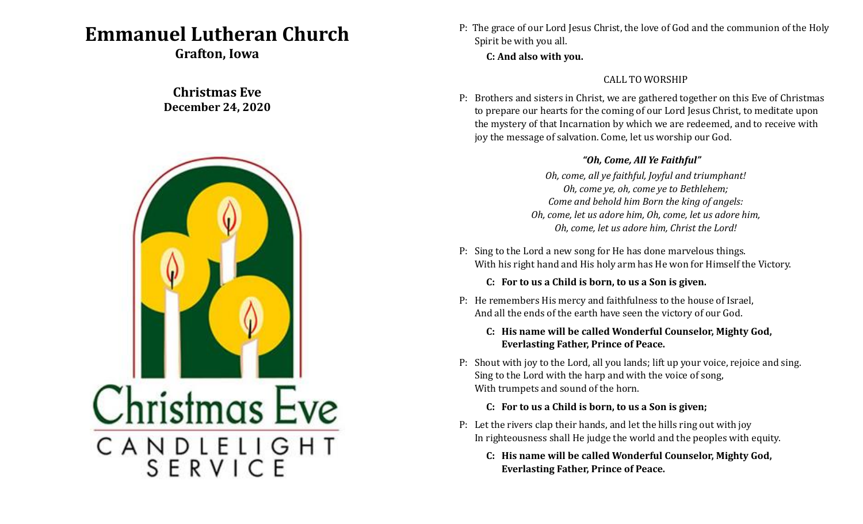# **Emmanuel Lutheran Church**

**Grafton, Iowa**

## **Christmas Eve December 24, 2020**



P: The grace of our Lord Jesus Christ, the love of God and the communion of the Holy Spirit be with you all.

**C: And also with you.**

### CALL TO WORSHIP

P: Brothers and sisters in Christ, we are gathered together on this Eve of Christmas to prepare our hearts for the coming of our Lord Jesus Christ, to meditate upon the mystery of that Incarnation by which we are redeemed, and to receive with joy the message of salvation. Come, let us worship our God.

#### *"Oh, Come, All Ye Faithful"*

*Oh, come, all ye faithful, Joyful and triumphant! Oh, come ye, oh, come ye to Bethlehem; Come and behold him Born the king of angels: Oh, come, let us adore him, Oh, come, let us adore him, Oh, come, let us adore him, Christ the Lord!*

- P: Sing to the Lord a new song for He has done marvelous things. With his right hand and His holy arm has He won for Himself the Victory.
	- **C: For to us a Child is born, to us a Son is given.**
- P: He remembers His mercy and faithfulness to the house of Israel, And all the ends of the earth have seen the victory of our God.

#### **C: His name will be called Wonderful Counselor, Mighty God, Everlasting Father, Prince of Peace.**

P: Shout with joy to the Lord, all you lands; lift up your voice, rejoice and sing. Sing to the Lord with the harp and with the voice of song, With trumpets and sound of the horn.

#### **C: For to us a Child is born, to us a Son is given;**

- P: Let the rivers clap their hands, and let the hills ring out with joy In righteousness shall He judge the world and the peoples with equity.
	- **C: His name will be called Wonderful Counselor, Mighty God, Everlasting Father, Prince of Peace.**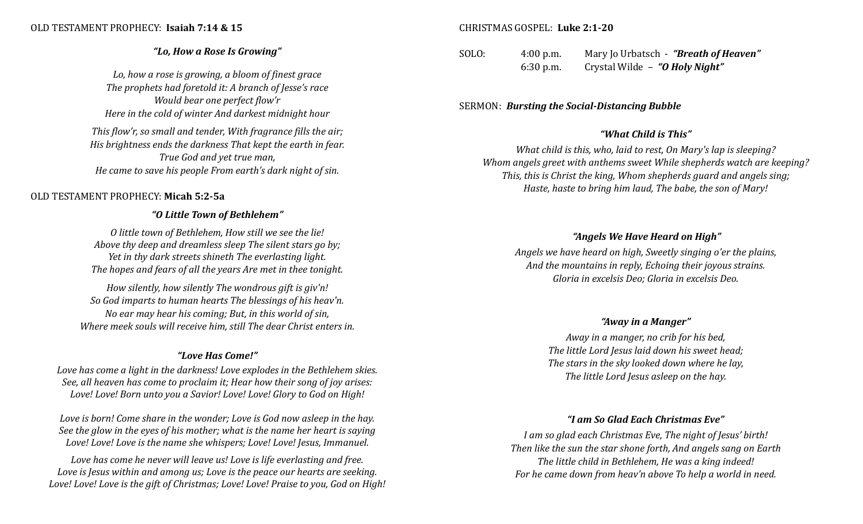#### OLD TESTAMENT PROPHECY: **Isaiah 7:14 & 15**

#### *"Lo, How a Rose Is Growing"*

*Lo, how a rose is growing, a bloom of finest grace The prophets had foretold it: A branch of Jesse's race Would bear one perfect flow'r Here in the cold of winter And darkest midnight hour*

*This flow'r, so small and tender, With fragrance fills the air; His brightness ends the darkness That kept the earth in fear. True God and yet true man, He came to save his people From earth's dark night of sin.*

#### OLD TESTAMENT PROPHECY: **Micah 5:2-5a**

#### *"O Little Town of Bethlehem"*

*O little town of Bethlehem, How still we see the lie! Above thy deep and dreamless sleep The silent stars go by; Yet in thy dark streets shineth The everlasting light. The hopes and fears of all the years Are met in thee tonight.*

*How silently, how silently The wondrous gift is giv'n! So God imparts to human hearts The blessings of his heav'n. No ear may hear his coming; But, in this world of sin, Where meek souls will receive him, still The dear Christ enters in.*

#### *"Love Has Come!"*

*Love has come a light in the darkness! Love explodes in the Bethlehem skies. See, all heaven has come to proclaim it; Hear how their song of joy arises: Love! Love! Born unto you a Savior! Love! Love! Glory to God on High!*

*Love is born! Come share in the wonder; Love is God now asleep in the hay. See the glow in the eyes of his mother; what is the name her heart is saying Love! Love! Love is the name she whispers; Love! Love! Jesus, Immanuel.*

*Love has come he never will leave us! Love is life everlasting and free. Love is Jesus within and among us; Love is the peace our hearts are seeking. Love! Love! Love is the gift of Christmas; Love! Love! Praise to you, God on High!*

#### CHRISTMAS GOSPEL: **Luke 2:1-20**

SOLO: 4:00 p.m. Mary Jo Urbatsch - *"Breath of Heaven"* 6:30 p.m. Crystal Wilde – *"O Holy Night"*

#### SERMON: *Bursting the Social-Distancing Bubble*

#### *"What Child is This"*

*What child is this, who, laid to rest, On Mary's lap is sleeping? Whom angels greet with anthems sweet While shepherds watch are keeping? This, this is Christ the king, Whom shepherds guard and angels sing; Haste, haste to bring him laud, The babe, the son of Mary!*

#### *"Angels We Have Heard on High"*

*Angels we have heard on high, Sweetly singing o'er the plains, And the mountains in reply, Echoing their joyous strains. Gloria in excelsis Deo; Gloria in excelsis Deo.*

#### *"Away in a Manger"*

*Away in a manger, no crib for his bed, The little Lord Jesus laid down his sweet head; The stars in the sky looked down where he lay, The little Lord Jesus asleep on the hay.*

#### *"I am So Glad Each Christmas Eve"*

*I am so glad each Christmas Eve, The night of Jesus' birth! Then like the sun the star shone forth, And angels sang on Earth The little child in Bethlehem, He was a king indeed! For he came down from heav'n above To help a world in need.*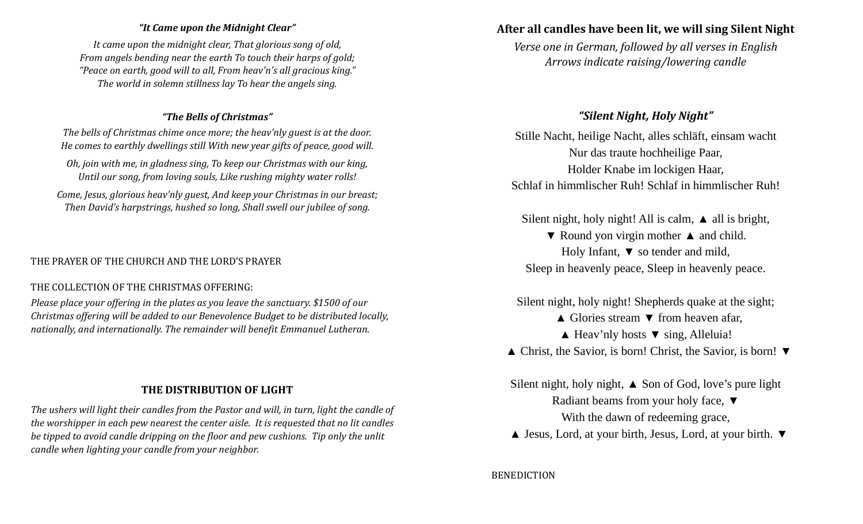#### *"It Came upon the Midnight Clear"*

*It came upon the midnight clear, That glorious song of old, From angels bending near the earth To touch their harps of gold; "Peace on earth, good will to all, From heav'n's all gracious king." The world in solemn stillness lay To hear the angels sing.*

#### *"The Bells of Christmas"*

*The bells of Christmas chime once more; the heav'nly guest is at the door. He comes to earthly dwellings still With new year gifts of peace, good will.*

*Oh, join with me, in gladness sing, To keep our Christmas with our king, Until our song, from loving souls, Like rushing mighty water rolls!*

*Come, Jesus, glorious heav'nly guest, And keep your Christmas in our breast; Then David's harpstrings, hushed so long, Shall swell our jubilee of song.*

#### THE PRAYER OF THE CHURCH AND THE LORD'S PRAYER

#### THE COLLECTION OF THE CHRISTMAS OFFERING:

*Please place your offering in the plates as you leave the sanctuary. \$1500 of our Christmas offering will be added to our Benevolence Budget to be distributed locally, nationally, and internationally. The remainder will benefit Emmanuel Lutheran.*

## **THE DISTRIBUTION OF LIGHT**

*The ushers will light their candles from the Pastor and will, in turn, light the candle of the worshipper in each pew nearest the center aisle. It is requested that no lit candles be tipped to avoid candle dripping on the floor and pew cushions. Tip only the unlit candle when lighting your candle from your neighbor.*

## **After all candles have been lit, we will sing Silent Night**

*Verse one in German, followed by all verses in English Arrows indicate raising/lowering candle*

## *"Silent Night, Holy Night"*

Stille Nacht, heilige Nacht, alles schläft, einsam wacht Nur das traute hochheilige Paar, Holder Knabe im lockigen Haar, Schlaf in himmlischer Ruh! Schlaf in himmlischer Ruh!

Silent night, holy night! All is calm, **▲** all is bright,

▼ Round yon virgin mother **▲** and child. Holy Infant, **▼** so tender and mild, Sleep in heavenly peace, Sleep in heavenly peace.

Silent night, holy night! Shepherds quake at the sight;

- **▲** Glories stream **▼** from heaven afar,
- **▲** Heav'nly hosts ▼ sing, Alleluia!
- **▲** Christ, the Savior, is born! Christ, the Savior, is born! **▼**

Silent night, holy night, **▲** Son of God, love's pure light Radiant beams from your holy face, **▼** With the dawn of redeeming grace,

 **▲** Jesus, Lord, at your birth, Jesus, Lord, at your birth. **▼**